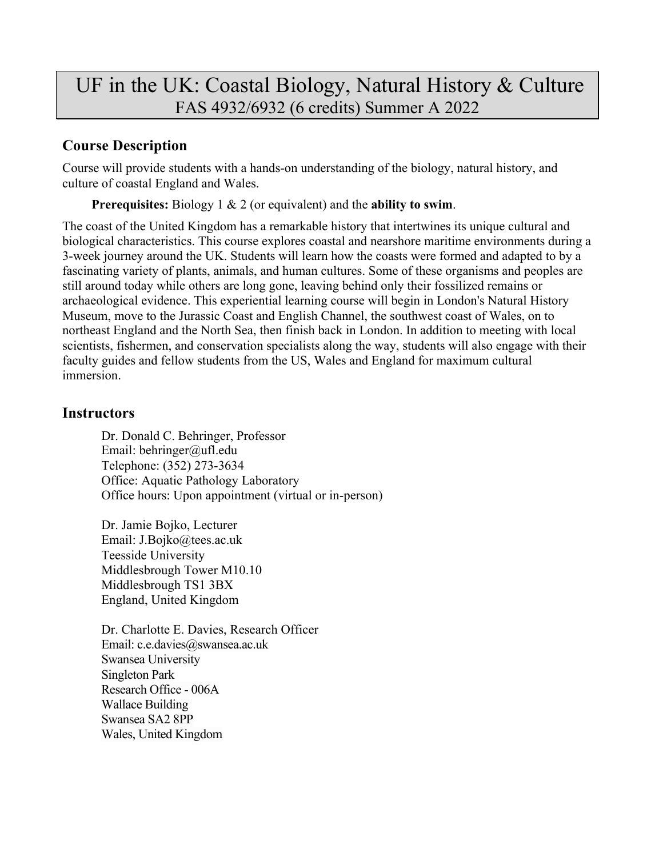# UF in the UK: Coastal Biology, Natural History & Culture FAS 4932/6932 (6 credits) Summer A 2022

# **Course Description**

Course will provide students with a hands-on understanding of the biology, natural history, and culture of coastal England and Wales.

**Prerequisites:** Biology 1 & 2 (or equivalent) and the **ability to swim**.

The coast of the United Kingdom has a remarkable history that intertwines its unique cultural and biological characteristics. This course explores coastal and nearshore maritime environments during a 3-week journey around the UK. Students will learn how the coasts were formed and adapted to by a fascinating variety of plants, animals, and human cultures. Some of these organisms and peoples are still around today while others are long gone, leaving behind only their fossilized remains or archaeological evidence. This experiential learning course will begin in London's Natural History Museum, move to the Jurassic Coast and English Channel, the southwest coast of Wales, on to northeast England and the North Sea, then finish back in London. In addition to meeting with local scientists, fishermen, and conservation specialists along the way, students will also engage with their faculty guides and fellow students from the US, Wales and England for maximum cultural immersion.

# **Instructors**

Dr. Donald C. Behringer, Professor Email: behringer@ufl.edu Telephone: (352) 273-3634 Office: Aquatic Pathology Laboratory Office hours: Upon appointment (virtual or in-person)

Dr. Jamie Bojko, Lecturer Email: J.Bojko@tees.ac.uk Teesside University Middlesbrough Tower M10.10 Middlesbrough TS1 3BX England, United Kingdom

Dr. Charlotte E. Davies, Research Officer Email: c.e.davies@swansea.ac.uk Swansea University Singleton Park Research Office - 006A Wallace Building Swansea SA2 8PP Wales, United Kingdom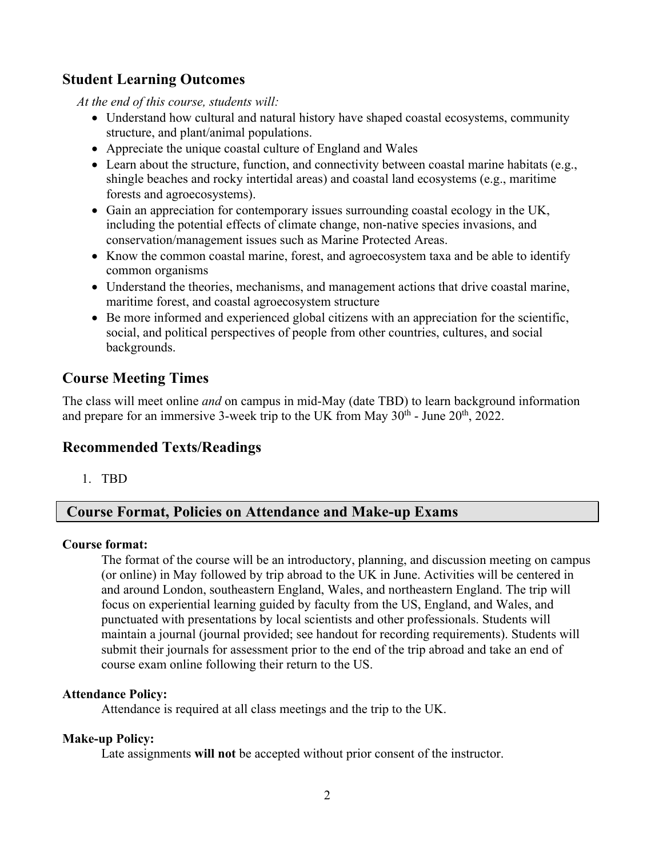## **Student Learning Outcomes**

*At the end of this course, students will:*

- Understand how cultural and natural history have shaped coastal ecosystems, community structure, and plant/animal populations.
- Appreciate the unique coastal culture of England and Wales
- Learn about the structure, function, and connectivity between coastal marine habitats (e.g., shingle beaches and rocky intertidal areas) and coastal land ecosystems (e.g., maritime forests and agroecosystems).
- Gain an appreciation for contemporary issues surrounding coastal ecology in the UK, including the potential effects of climate change, non-native species invasions, and conservation/management issues such as Marine Protected Areas.
- Know the common coastal marine, forest, and agroecosystem taxa and be able to identify common organisms
- Understand the theories, mechanisms, and management actions that drive coastal marine, maritime forest, and coastal agroecosystem structure
- Be more informed and experienced global citizens with an appreciation for the scientific, social, and political perspectives of people from other countries, cultures, and social backgrounds.

# **Course Meeting Times**

The class will meet online *and* on campus in mid-May (date TBD) to learn background information and prepare for an immersive 3-week trip to the UK from May  $30<sup>th</sup>$  - June  $20<sup>th</sup>$ , 2022.

## **Recommended Texts/Readings**

1. TBD

## **Course Format, Policies on Attendance and Make-up Exams**

#### **Course format:**

The format of the course will be an introductory, planning, and discussion meeting on campus (or online) in May followed by trip abroad to the UK in June. Activities will be centered in and around London, southeastern England, Wales, and northeastern England. The trip will focus on experiential learning guided by faculty from the US, England, and Wales, and punctuated with presentations by local scientists and other professionals. Students will maintain a journal (journal provided; see handout for recording requirements). Students will submit their journals for assessment prior to the end of the trip abroad and take an end of course exam online following their return to the US.

#### **Attendance Policy:**

Attendance is required at all class meetings and the trip to the UK.

#### **Make-up Policy:**

Late assignments **will not** be accepted without prior consent of the instructor.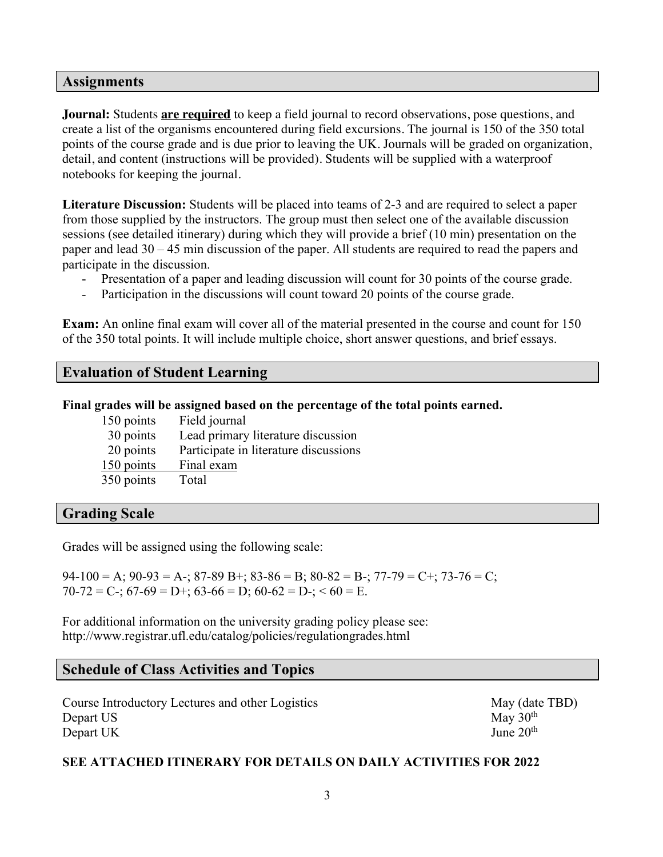#### **Assignments**

**Journal:** Students **are required** to keep a field journal to record observations, pose questions, and create a list of the organisms encountered during field excursions. The journal is 150 of the 350 total points of the course grade and is due prior to leaving the UK. Journals will be graded on organization, detail, and content (instructions will be provided). Students will be supplied with a waterproof notebooks for keeping the journal.

**Literature Discussion:** Students will be placed into teams of 2-3 and are required to select a paper from those supplied by the instructors. The group must then select one of the available discussion sessions (see detailed itinerary) during which they will provide a brief (10 min) presentation on the paper and lead 30 – 45 min discussion of the paper. All students are required to read the papers and participate in the discussion.

- Presentation of a paper and leading discussion will count for 30 points of the course grade.
- Participation in the discussions will count toward 20 points of the course grade.

**Exam:** An online final exam will cover all of the material presented in the course and count for 150 of the 350 total points. It will include multiple choice, short answer questions, and brief essays.

### **Evaluation of Student Learning**

#### **Final grades will be assigned based on the percentage of the total points earned.**

| 150 points | Field journal                         |
|------------|---------------------------------------|
| 30 points  | Lead primary literature discussion    |
| 20 points  | Participate in literature discussions |
| 150 points | Final exam                            |
| 350 points | Total                                 |

#### **Grading Scale**

Grades will be assigned using the following scale:

 $94-100 = A$ ;  $90-93 = A$ -;  $87-89 B$ +;  $83-86 = B$ ;  $80-82 = B$ -;  $77-79 = C$ +;  $73-76 = C$ ;  $70-72 = C$ ;  $67-69 = D$ ;  $63-66 = D$ ;  $60-62 = D$ ;  $60 = E$ .

For additional information on the university grading policy please see: http://www.registrar.ufl.edu/catalog/policies/regulationgrades.html

#### **Schedule of Class Activities and Topics**

Course Introductory Lectures and other Logistics May (date TBD) Depart US  $\text{May } 30^{\text{th}}$ Depart UK June  $20<sup>th</sup>$ 

#### **SEE ATTACHED ITINERARY FOR DETAILS ON DAILY ACTIVITIES FOR 2022**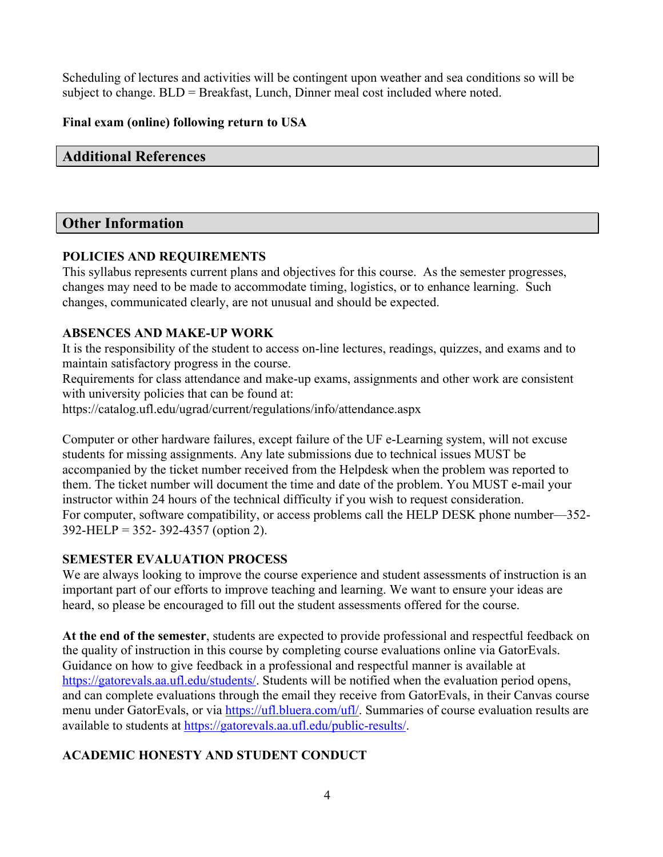Scheduling of lectures and activities will be contingent upon weather and sea conditions so will be subject to change. BLD = Breakfast, Lunch, Dinner meal cost included where noted.

### **Final exam (online) following return to USA**

## **Additional References**

## **Other Information**

#### **POLICIES AND REQUIREMENTS**

This syllabus represents current plans and objectives for this course. As the semester progresses, changes may need to be made to accommodate timing, logistics, or to enhance learning. Such changes, communicated clearly, are not unusual and should be expected.

### **ABSENCES AND MAKE-UP WORK**

It is the responsibility of the student to access on-line lectures, readings, quizzes, and exams and to maintain satisfactory progress in the course.

Requirements for class attendance and make-up exams, assignments and other work are consistent with university policies that can be found at:

https://catalog.ufl.edu/ugrad/current/regulations/info/attendance.aspx

Computer or other hardware failures, except failure of the UF e-Learning system, will not excuse students for missing assignments. Any late submissions due to technical issues MUST be accompanied by the ticket number received from the Helpdesk when the problem was reported to them. The ticket number will document the time and date of the problem. You MUST e-mail your instructor within 24 hours of the technical difficulty if you wish to request consideration. For computer, software compatibility, or access problems call the HELP DESK phone number—352- 392-HELP = 352- 392-4357 (option 2).

#### **SEMESTER EVALUATION PROCESS**

We are always looking to improve the course experience and student assessments of instruction is an important part of our efforts to improve teaching and learning. We want to ensure your ideas are heard, so please be encouraged to fill out the student assessments offered for the course.

**At the end of the semester**, students are expected to provide professional and respectful feedback on the quality of instruction in this course by completing course evaluations online via GatorEvals. Guidance on how to give feedback in a professional and respectful manner is available at https://gatorevals.aa.ufl.edu/students/. Students will be notified when the evaluation period opens, and can complete evaluations through the email they receive from GatorEvals, in their Canvas course menu under GatorEvals, or via https://ufl.bluera.com/ufl/. Summaries of course evaluation results are available to students at https://gatorevals.aa.ufl.edu/public-results/.

# **ACADEMIC HONESTY AND STUDENT CONDUCT**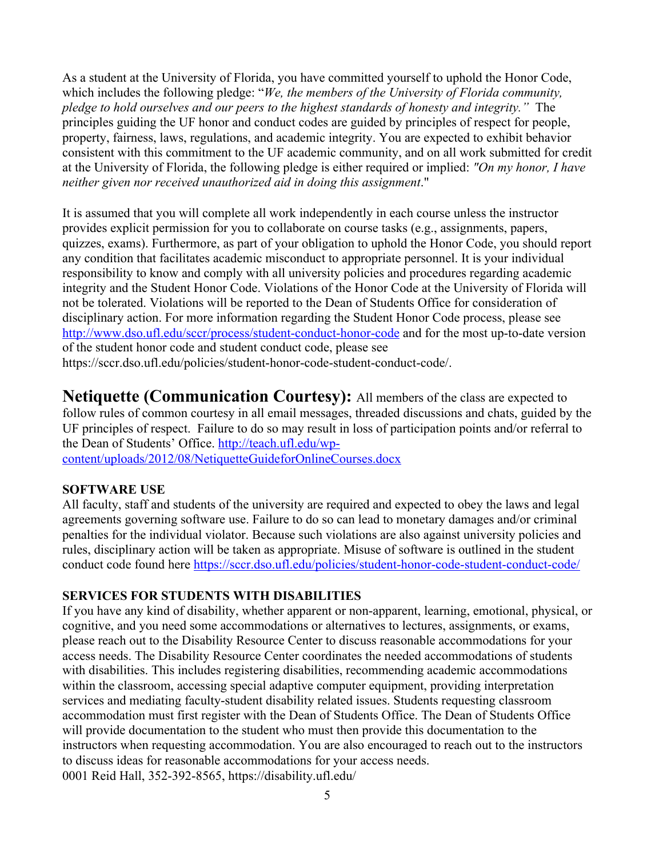As a student at the University of Florida, you have committed yourself to uphold the Honor Code, which includes the following pledge: "*We, the members of the University of Florida community, pledge to hold ourselves and our peers to the highest standards of honesty and integrity."* The principles guiding the UF honor and conduct codes are guided by principles of respect for people, property, fairness, laws, regulations, and academic integrity. You are expected to exhibit behavior consistent with this commitment to the UF academic community, and on all work submitted for credit at the University of Florida, the following pledge is either required or implied: *"On my honor, I have neither given nor received unauthorized aid in doing this assignment*."

It is assumed that you will complete all work independently in each course unless the instructor provides explicit permission for you to collaborate on course tasks (e.g., assignments, papers, quizzes, exams). Furthermore, as part of your obligation to uphold the Honor Code, you should report any condition that facilitates academic misconduct to appropriate personnel. It is your individual responsibility to know and comply with all university policies and procedures regarding academic integrity and the Student Honor Code. Violations of the Honor Code at the University of Florida will not be tolerated. Violations will be reported to the Dean of Students Office for consideration of disciplinary action. For more information regarding the Student Honor Code process, please see http://www.dso.ufl.edu/sccr/process/student-conduct-honor-code and for the most up-to-date version of the student honor code and student conduct code, please see https://sccr.dso.ufl.edu/policies/student-honor-code-student-conduct-code/.

**Netiquette (Communication Courtesy):** All members of the class are expected to follow rules of common courtesy in all email messages, threaded discussions and chats, guided by the UF principles of respect. Failure to do so may result in loss of participation points and/or referral to the Dean of Students' Office. http://teach.ufl.edu/wp-

content/uploads/2012/08/NetiquetteGuideforOnlineCourses.docx

#### **SOFTWARE USE**

All faculty, staff and students of the university are required and expected to obey the laws and legal agreements governing software use. Failure to do so can lead to monetary damages and/or criminal penalties for the individual violator. Because such violations are also against university policies and rules, disciplinary action will be taken as appropriate. Misuse of software is outlined in the student conduct code found here https://sccr.dso.ufl.edu/policies/student-honor-code-student-conduct-code/

#### **SERVICES FOR STUDENTS WITH DISABILITIES**

If you have any kind of disability, whether apparent or non-apparent, learning, emotional, physical, or cognitive, and you need some accommodations or alternatives to lectures, assignments, or exams, please reach out to the Disability Resource Center to discuss reasonable accommodations for your access needs. The Disability Resource Center coordinates the needed accommodations of students with disabilities. This includes registering disabilities, recommending academic accommodations within the classroom, accessing special adaptive computer equipment, providing interpretation services and mediating faculty-student disability related issues. Students requesting classroom accommodation must first register with the Dean of Students Office. The Dean of Students Office will provide documentation to the student who must then provide this documentation to the instructors when requesting accommodation. You are also encouraged to reach out to the instructors to discuss ideas for reasonable accommodations for your access needs. 0001 Reid Hall, 352-392-8565, https://disability.ufl.edu/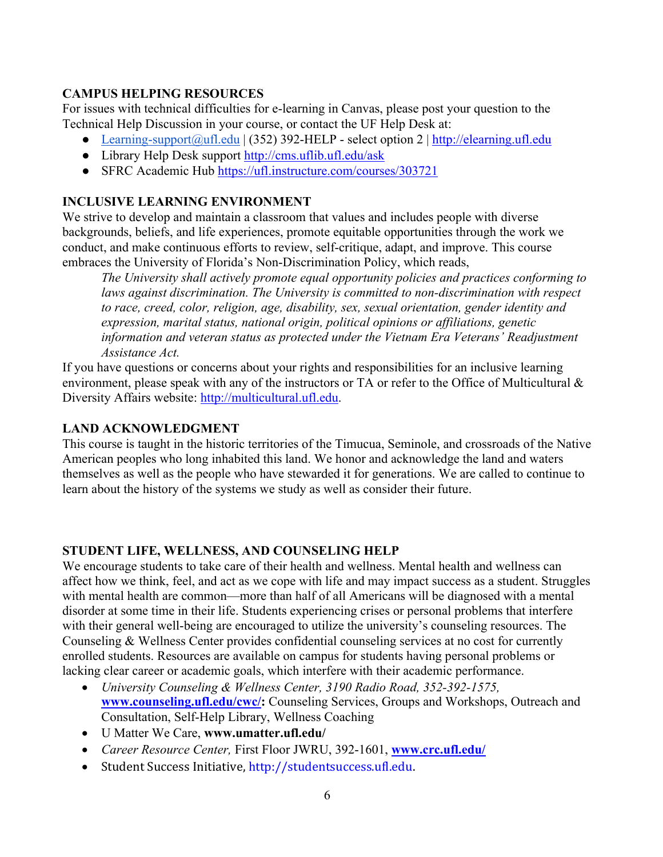#### **CAMPUS HELPING RESOURCES**

For issues with technical difficulties for e-learning in Canvas, please post your question to the Technical Help Discussion in your course, or contact the UF Help Desk at:

- Learning-support@ufl.edu | (352) 392-HELP select option 2 | http://elearning.ufl.edu
- Library Help Desk support http://cms.uflib.ufl.edu/ask
- SFRC Academic Hub https://ufl.instructure.com/courses/303721

### **INCLUSIVE LEARNING ENVIRONMENT**

We strive to develop and maintain a classroom that values and includes people with diverse backgrounds, beliefs, and life experiences, promote equitable opportunities through the work we conduct, and make continuous efforts to review, self-critique, adapt, and improve. This course embraces the University of Florida's Non-Discrimination Policy, which reads,

*The University shall actively promote equal opportunity policies and practices conforming to*  laws against discrimination. The University is committed to non-discrimination with respect *to race, creed, color, religion, age, disability, sex, sexual orientation, gender identity and expression, marital status, national origin, political opinions or affiliations, genetic information and veteran status as protected under the Vietnam Era Veterans' Readjustment Assistance Act.*

If you have questions or concerns about your rights and responsibilities for an inclusive learning environment, please speak with any of the instructors or TA or refer to the Office of Multicultural & Diversity Affairs website: http://multicultural.ufl.edu.

#### **LAND ACKNOWLEDGMENT**

This course is taught in the historic territories of the Timucua, Seminole, and crossroads of the Native American peoples who long inhabited this land. We honor and acknowledge the land and waters themselves as well as the people who have stewarded it for generations. We are called to continue to learn about the history of the systems we study as well as consider their future.

#### **STUDENT LIFE, WELLNESS, AND COUNSELING HELP**

We encourage students to take care of their health and wellness. Mental health and wellness can affect how we think, feel, and act as we cope with life and may impact success as a student. Struggles with mental health are common—more than half of all Americans will be diagnosed with a mental disorder at some time in their life. Students experiencing crises or personal problems that interfere with their general well-being are encouraged to utilize the university's counseling resources. The Counseling & Wellness Center provides confidential counseling services at no cost for currently enrolled students. Resources are available on campus for students having personal problems or lacking clear career or academic goals, which interfere with their academic performance.

- *University Counseling & Wellness Center, 3190 Radio Road, 352-392-1575,* **www.counseling.ufl.edu/cwc/:** Counseling Services, Groups and Workshops, Outreach and Consultation, Self-Help Library, Wellness Coaching
- U Matter We Care, **www.umatter.ufl.edu/**
- *Career Resource Center,* First Floor JWRU, 392-1601, **www.crc.ufl.edu/**
- Student Success Initiative, http://studentsuccess.ufl.edu.